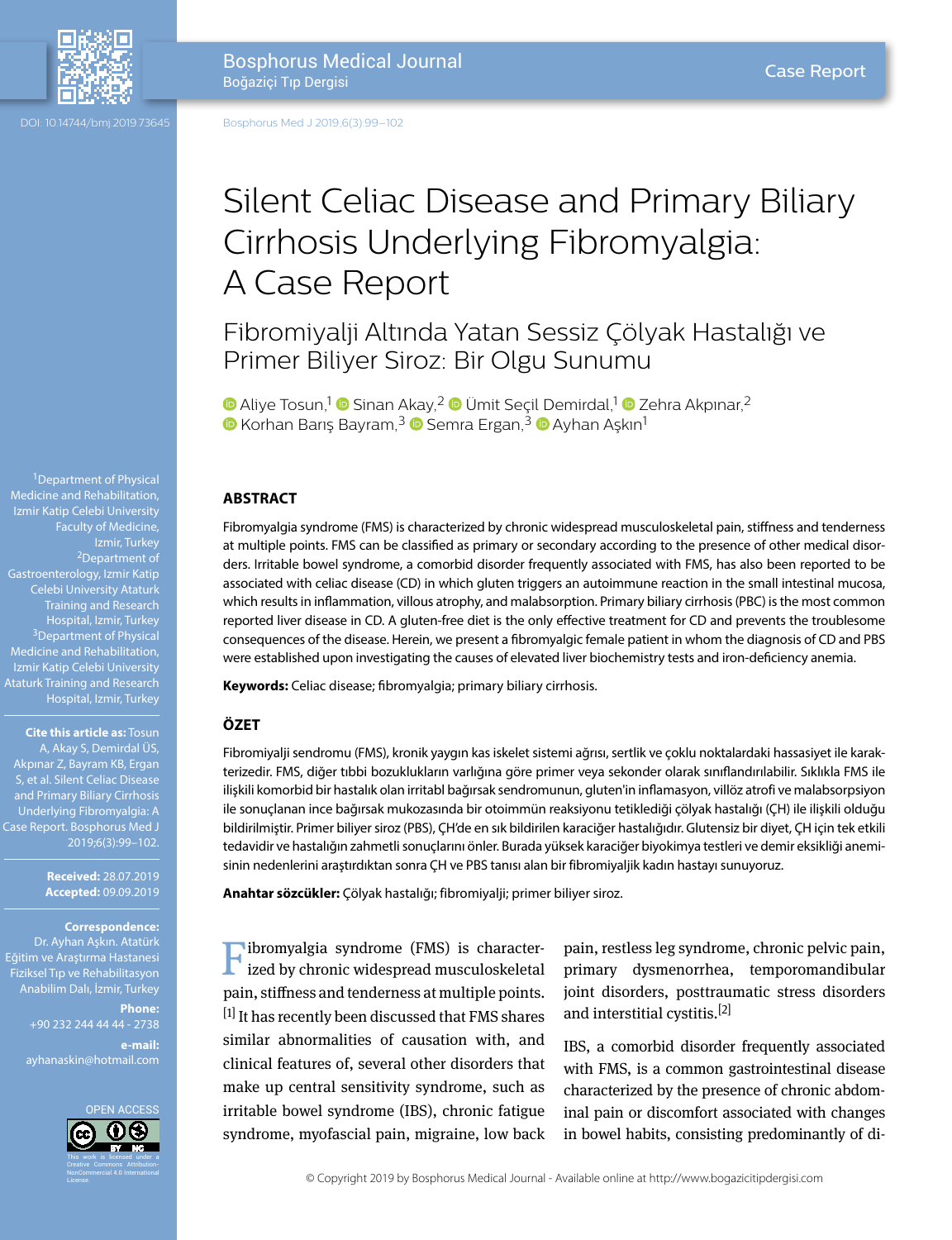

Bosphorus Medical Journal Boğaziçi Tıp Dergisi

DOI: 10.14744/bmj.2019.73645

Bosphorus Med J 2019;6(3):99–102

# Silent Celiac Disease and Primary Biliary Cirrhosis Underlying Fibromyalgia: A Case Report

Fibromiyalji Altında Yatan Sessiz Çölyak Hastalığı ve Primer Biliyer Siroz: Bir Olgu Sunumu

**D**Aliye Tosun,<sup>1</sup> D Sinan Akay,<sup>2</sup> D Ümit Secil Demirdal,<sup>1</sup> D Zehra Akpınar,<sup>2</sup>  $\bullet$ Korhan Barış Bayram,<sup>3</sup>  $\bullet$  Semra Ergan,<sup>3</sup>  $\bullet$  Ayhan Aşkın<sup>1</sup>

## **ABSTRACT**

Fibromyalgia syndrome (FMS) is characterized by chronic widespread musculoskeletal pain, stiffness and tenderness at multiple points. FMS can be classified as primary or secondary according to the presence of other medical disorders. Irritable bowel syndrome, a comorbid disorder frequently associated with FMS, has also been reported to be associated with celiac disease (CD) in which gluten triggers an autoimmune reaction in the small intestinal mucosa, which results in inflammation, villous atrophy, and malabsorption. Primary biliary cirrhosis (PBC) is the most common reported liver disease in CD. A gluten-free diet is the only effective treatment for CD and prevents the troublesome consequences of the disease. Herein, we present a fibromyalgic female patient in whom the diagnosis of CD and PBS were established upon investigating the causes of elevated liver biochemistry tests and iron-deficiency anemia.

**Keywords:** Celiac disease; fibromyalgia; primary biliary cirrhosis.

#### **ÖZET**

Fibromiyalji sendromu (FMS), kronik yaygın kas iskelet sistemi ağrısı, sertlik ve çoklu noktalardaki hassasiyet ile karakterizedir. FMS, diğer tıbbi bozuklukların varlığına göre primer veya sekonder olarak sınıflandırılabilir. Sıklıkla FMS ile ilişkili komorbid bir hastalık olan irritabl bağırsak sendromunun, gluten'in inflamasyon, villöz atrofi ve malabsorpsiyon ile sonuçlanan ince bağırsak mukozasında bir otoimmün reaksiyonu tetiklediği çölyak hastalığı (ÇH) ile ilişkili olduğu bildirilmiştir. Primer biliyer siroz (PBS), ÇH'de en sık bildirilen karaciğer hastalığıdır. Glutensiz bir diyet, ÇH için tek etkili tedavidir ve hastalığın zahmetli sonuçlarını önler. Burada yüksek karaciğer biyokimya testleri ve demir eksikliği anemisinin nedenlerini araştırdıktan sonra ÇH ve PBS tanısı alan bir fibromiyaljik kadın hastayı sunuyoruz.

**Anahtar sözcükler:** Çölyak hastalığı; fibromiyalji; primer biliyer siroz.

Fibromyalgia syndrome (FMS) is character-ized by chronic widespread musculoskeletal pain, stiffness and tenderness at multiple points.  $[1]$  It has recently been discussed that FMS shares similar abnormalities of causation with, and clinical features of, several other disorders that make up central sensitivity syndrome, such as irritable bowel syndrome (IBS), chronic fatigue syndrome, myofascial pain, migraine, low back

pain, restless leg syndrome, chronic pelvic pain, primary dysmenorrhea, temporomandibular joint disorders, posttraumatic stress disorders and interstitial cystitis.[2]

IBS, a comorbid disorder frequently associated with FMS, is a common gastrointestinal disease characterized by the presence of chronic abdominal pain or discomfort associated with changes in bowel habits, consisting predominantly of di-

© Copyright 2019 by Bosphorus Medical Journal - Available online at http://www.bogazicitipdergisi.com

<sup>1</sup>Department of Physical Medicine and Rehabilitation, Izmir Katip Celebi University Faculty of Medicine,<br>Izmir, Turkey <sup>2</sup>Department of Gastroenterology, Izmir Katip Training and Research Hospital, Izmir, Turkey<br><sup>3</sup>Department of Physical Medicine and Rehabilitation, Izmir Katip Celebi University Ataturk Training and Research Hospital, Izmir, Turkey

**Cite this article as:** Tosun A, Akay S, Demirdal ÜS, Akpınar Z, Bayram KB, Ergan S, et al. Silent Celiac Disease and Primary Biliary Cirrhosis Underlying Fibromyalgia: A Case Report. Bosphorus Med J

> **Received:** 28.07.2019 **Accepted:** 09.09.2019

2019;6(3):99–102.

#### **Correspondence:**

Dr. Ayhan Aşkın. Atatürk Eğitim ve Araştırma Hastanesi Fiziksel Tıp ve Rehabilitasyon Anabilim Dalı, İzmir, Turkey

> **Phone:** +90 232 244 44 44 - 2738

**e-mail:** ayhanaskin@hotmail.com

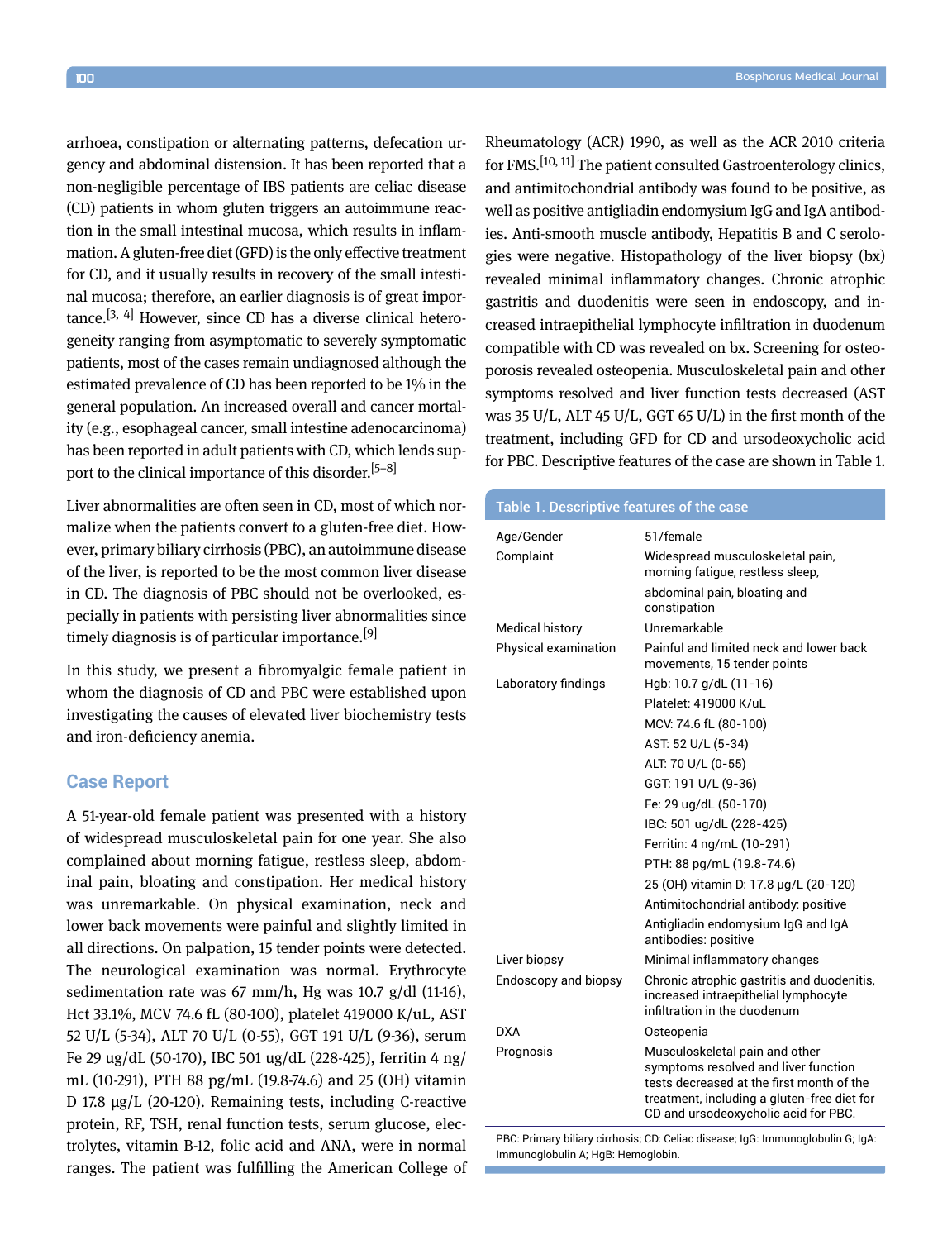arrhoea, constipation or alternating patterns, defecation urgency and abdominal distension. It has been reported that a non-negligible percentage of IBS patients are celiac disease (CD) patients in whom gluten triggers an autoimmune reaction in the small intestinal mucosa, which results in inflammation. A gluten-free diet (GFD) is the only effective treatment for CD, and it usually results in recovery of the small intestinal mucosa; therefore, an earlier diagnosis is of great impor $t$ ance.<sup>[3, 4]</sup> However, since CD has a diverse clinical heterogeneity ranging from asymptomatic to severely symptomatic patients, most of the cases remain undiagnosed although the estimated prevalence of CD has been reported to be 1% in the general population. An increased overall and cancer mortality (e.g., esophageal cancer, small intestine adenocarcinoma) has been reported in adult patients with CD, which lends support to the clinical importance of this disorder.<sup>[5–8]</sup>

Liver abnormalities are often seen in CD, most of which normalize when the patients convert to a gluten-free diet. However, primary biliary cirrhosis (PBC), an autoimmune disease of the liver, is reported to be the most common liver disease in CD. The diagnosis of PBC should not be overlooked, especially in patients with persisting liver abnormalities since timely diagnosis is of particular importance.<sup>[9]</sup>

In this study, we present a fibromyalgic female patient in whom the diagnosis of CD and PBC were established upon investigating the causes of elevated liver biochemistry tests and iron-deficiency anemia.

## **Case Report**

A 51-year-old female patient was presented with a history of widespread musculoskeletal pain for one year. She also complained about morning fatigue, restless sleep, abdominal pain, bloating and constipation. Her medical history was unremarkable. On physical examination, neck and lower back movements were painful and slightly limited in all directions. On palpation, 15 tender points were detected. The neurological examination was normal. Erythrocyte sedimentation rate was  $67$  mm/h, Hg was  $10.7$  g/dl  $(11-16)$ , Hct 33.1%, MCV 74.6 fL (80-100), platelet 419000 K/uL, AST 52 U/L (5-34), ALT 70 U/L (0-55), GGT 191 U/L (9-36), serum Fe 29 ug/dL (50-170), IBC 501 ug/dL (228-425), ferritin 4 ng/ mL (10-291), PTH 88 pg/mL (19.8-74.6) and 25 (OH) vitamin D 17.8 µg/L (20-120). Remaining tests, including C-reactive protein, RF, TSH, renal function tests, serum glucose, electrolytes, vitamin B-12, folic acid and ANA, were in normal ranges. The patient was fulfilling the American College of Rheumatology (ACR) 1990, as well as the ACR 2010 criteria for FMS.[10, 11] The patient consulted Gastroenterology clinics, and antimitochondrial antibody was found to be positive, as well as positive antigliadin endomysium IgG and IgA antibodies. Anti-smooth muscle antibody, Hepatitis B and C serologies were negative. Histopathology of the liver biopsy (bx) revealed minimal inflammatory changes. Chronic atrophic gastritis and duodenitis were seen in endoscopy, and increased intraepithelial lymphocyte infiltration in duodenum compatible with CD was revealed on bx. Screening for osteoporosis revealed osteopenia. Musculoskeletal pain and other symptoms resolved and liver function tests decreased (AST was 35 U/L, ALT 45 U/L, GGT 65 U/L) in the first month of the treatment, including GFD for CD and ursodeoxycholic acid for PBC. Descriptive features of the case are shown in Table 1.

| <b>Table 1. Descriptive features of the case</b> |                                                                                                                                                                                                            |
|--------------------------------------------------|------------------------------------------------------------------------------------------------------------------------------------------------------------------------------------------------------------|
| Age/Gender                                       | 51/female                                                                                                                                                                                                  |
| Complaint                                        | Widespread musculoskeletal pain,<br>morning fatigue, restless sleep,                                                                                                                                       |
|                                                  | abdominal pain, bloating and<br>constipation                                                                                                                                                               |
| <b>Medical history</b>                           | Unremarkable                                                                                                                                                                                               |
| Physical examination                             | Painful and limited neck and lower back<br>movements, 15 tender points                                                                                                                                     |
| Laboratory findings                              | Hgb: 10.7 g/dL (11-16)                                                                                                                                                                                     |
|                                                  | Platelet: 419000 K/uL                                                                                                                                                                                      |
|                                                  | MCV. 74.6 fL (80-100)                                                                                                                                                                                      |
|                                                  | AST: 52 U/L (5-34)                                                                                                                                                                                         |
|                                                  | ALT: 70 U/L (0-55)                                                                                                                                                                                         |
|                                                  | GGT: 191 U/L (9-36)                                                                                                                                                                                        |
|                                                  | Fe: 29 ug/dL (50-170)                                                                                                                                                                                      |
|                                                  | IBC: 501 ug/dL (228-425)                                                                                                                                                                                   |
|                                                  | Ferritin: 4 ng/mL (10-291)                                                                                                                                                                                 |
|                                                  | PTH: 88 pg/mL (19.8-74.6)                                                                                                                                                                                  |
|                                                  | 25 (OH) vitamin D: 17.8 µg/L (20-120)                                                                                                                                                                      |
|                                                  | Antimitochondrial antibody: positive                                                                                                                                                                       |
|                                                  | Antigliadin endomysium IgG and IgA<br>antibodies: positive                                                                                                                                                 |
| Liver biopsy                                     | Minimal inflammatory changes                                                                                                                                                                               |
| Endoscopy and biopsy                             | Chronic atrophic gastritis and duodenitis,<br>increased intraepithelial lymphocyte<br>infiltration in the duodenum                                                                                         |
| DXA                                              | Osteopenia                                                                                                                                                                                                 |
| Prognosis                                        | Musculoskeletal pain and other<br>symptoms resolved and liver function<br>tests decreased at the first month of the<br>treatment, including a gluten-free diet for<br>CD and ursodeoxycholic acid for PBC. |
|                                                  |                                                                                                                                                                                                            |

PBC: Primary biliary cirrhosis; CD: Celiac disease; IgG: Immunoglobulin G; IgA: Immunoglobulin A; HgB: Hemoglobin.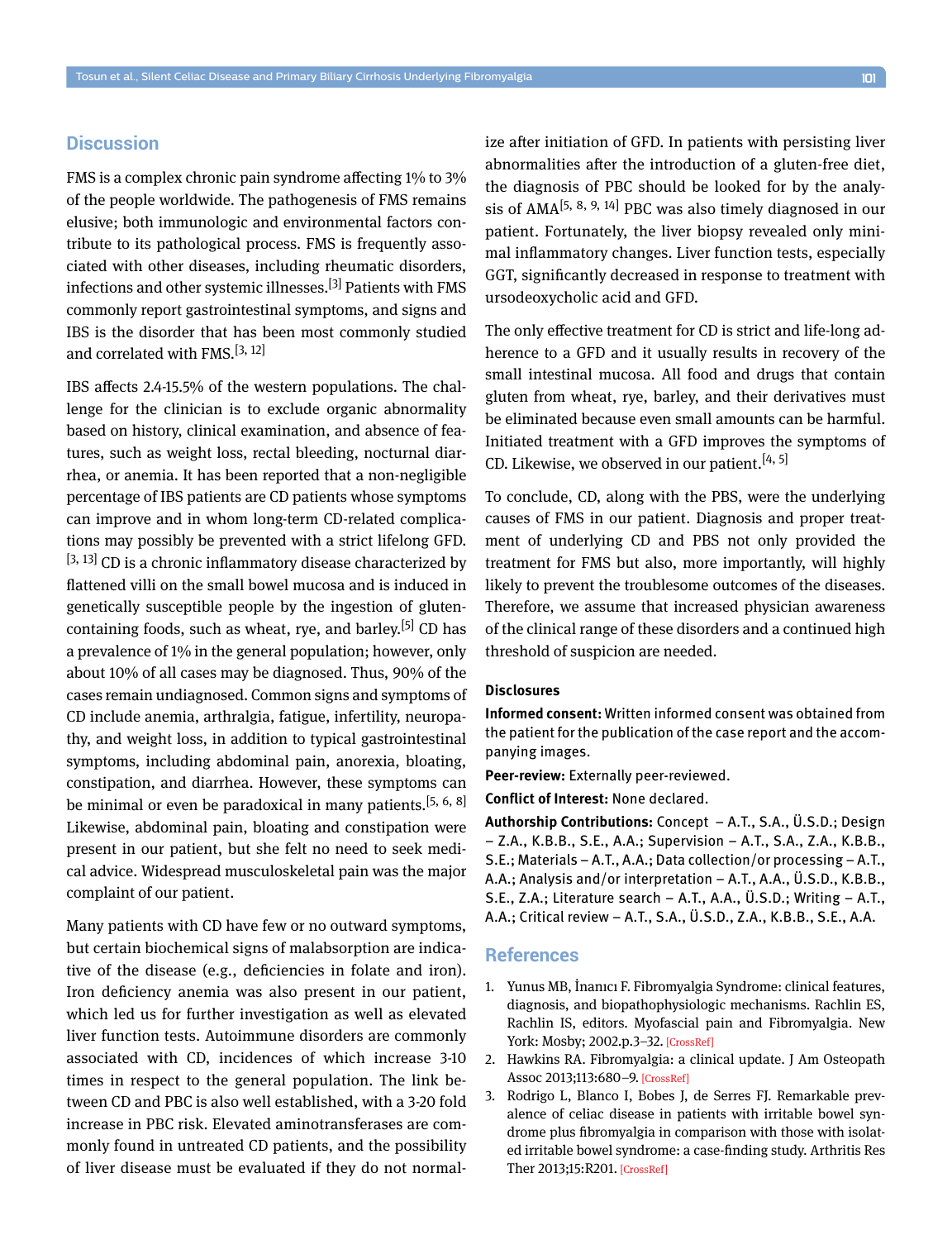## **Discussion**

FMS is a complex chronic pain syndrome affecting 1% to 3% of the people worldwide. The pathogenesis of FMS remains elusive; both immunologic and environmental factors contribute to its pathological process. FMS is frequently associated with other diseases, including rheumatic disorders, infections and other systemic illnesses.[3] Patients with FMS commonly report gastrointestinal symptoms, and signs and IBS is the disorder that has been most commonly studied and correlated with FMS.[3, 12]

IBS affects 2.4-15.5% of the western populations. The challenge for the clinician is to exclude organic abnormality based on history, clinical examination, and absence of features, such as weight loss, rectal bleeding, nocturnal diarrhea, or anemia. It has been reported that a non-negligible percentage of IBS patients are CD patients whose symptoms can improve and in whom long-term CD-related complications may possibly be prevented with a strict lifelong GFD.  $[3, 13]$  CD is a chronic inflammatory disease characterized by flattened villi on the small bowel mucosa and is induced in genetically susceptible people by the ingestion of glutencontaining foods, such as wheat, rye, and barley.<sup>[5]</sup> CD has a prevalence of 1% in the general population; however, only about 10% of all cases may be diagnosed. Thus, 90% of the cases remain undiagnosed. Common signs and symptoms of CD include anemia, arthralgia, fatigue, infertility, neuropathy, and weight loss, in addition to typical gastrointestinal symptoms, including abdominal pain, anorexia, bloating, constipation, and diarrhea. However, these symptoms can be minimal or even be paradoxical in many patients.<sup>[5, 6, 8]</sup> Likewise, abdominal pain, bloating and constipation were present in our patient, but she felt no need to seek medical advice. Widespread musculoskeletal pain was the major complaint of our patient.

Many patients with CD have few or no outward symptoms, but certain biochemical signs of malabsorption are indicative of the disease (e.g., deficiencies in folate and iron). Iron deficiency anemia was also present in our patient, which led us for further investigation as well as elevated liver function tests. Autoimmune disorders are commonly associated with CD, incidences of which increase 3-10 times in respect to the general population. The link between CD and PBC is also well established, with a 3-20 fold increase in PBC risk. Elevated aminotransferases are commonly found in untreated CD patients, and the possibility of liver disease must be evaluated if they do not normalize after initiation of GFD. In patients with persisting liver abnormalities after the introduction of a gluten-free diet, the diagnosis of PBC should be looked for by the analysis of  $AMA^{[5, 8, 9, 14]}$  PBC was also timely diagnosed in our patient. Fortunately, the liver biopsy revealed only minimal inflammatory changes. Liver function tests, especially GGT, significantly decreased in response to treatment with ursodeoxycholic acid and GFD.

The only effective treatment for CD is strict and life-long adherence to a GFD and it usually results in recovery of the small intestinal mucosa. All food and drugs that contain gluten from wheat, rye, barley, and their derivatives must be eliminated because even small amounts can be harmful. Initiated treatment with a GFD improves the symptoms of CD. Likewise, we observed in our patient.  $[4, 5]$ 

To conclude, CD, along with the PBS, were the underlying causes of FMS in our patient. Diagnosis and proper treatment of underlying CD and PBS not only provided the treatment for FMS but also, more importantly, will highly likely to prevent the troublesome outcomes of the diseases. Therefore, we assume that increased physician awareness of the clinical range of these disorders and a continued high threshold of suspicion are needed.

## **Disclosures**

**Informed consent:** Written informed consent was obtained from the patient for the publication of the case report and the accompanying images.

**Peer-review:** Externally peer-reviewed.

**Conflict of Interest:** None declared.

**Authorship Contributions:** Concept – A.T., S.A., Ü.S.D.; Design – Z.A., K.B.B., S.E., A.A.; Supervision – A.T., S.A., Z.A., K.B.B., S.E.; Materials – A.T., A.A.; Data collection/or processing – A.T., A.A.; Analysis and/or interpretation – A.T., A.A., Ü.S.D., K.B.B., S.E., Z.A.; Literature search – A.T., A.A., Ü.S.D.; Writing – A.T., A.A.; Critical review – A.T., S.A., Ü.S.D., Z.A., K.B.B., S.E., A.A.

## **References**

- 1. Yunus MB, İnanıcı F. Fibromyalgia Syndrome: clinical features, diagnosis, and biopathophysiologic mechanisms. Rachlin ES, Rachlin IS, editors. Myofascial pain and Fibromyalgia. New York: Mosby; 2002.p.3–32[. \[CrossRef\]](https://doi.org/10.1016/B978-0-323-01155-6.50007-4)
- 2. Hawkins RA. Fibromyalgia: a clinical update. J Am Osteopath Assoc 2013;113:680–[9. \[CrossRef\]](https://doi.org/10.7556/jaoa.2013.034)
- 3. Rodrigo L, Blanco I, Bobes J, de Serres FJ. Remarkable prevalence of celiac disease in patients with irritable bowel syndrome plus fibromyalgia in comparison with those with isolated irritable bowel syndrome: a case-finding study. Arthritis Res Ther 2013;15:R20[1. \[CrossRef\]](https://doi.org/10.1186/ar4391)